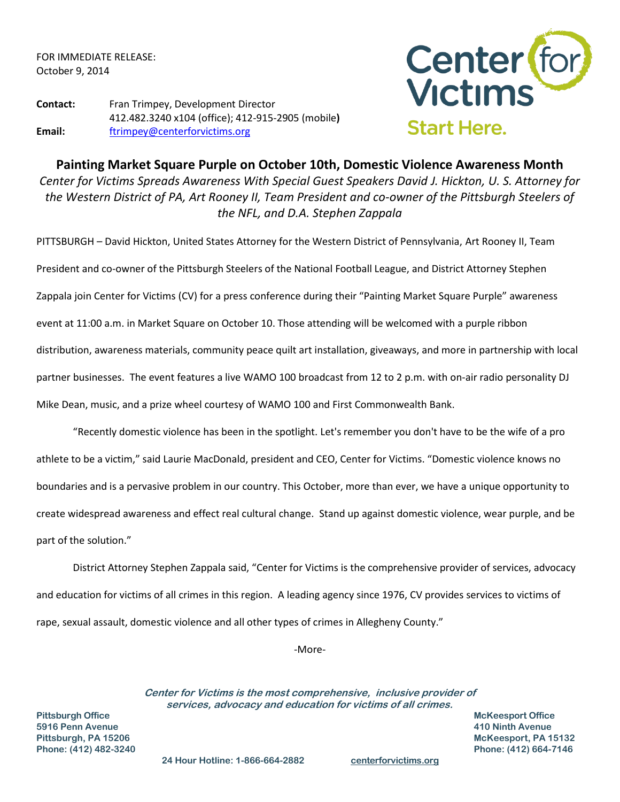FOR IMMEDIATE RELEASE: October 9, 2014

**Center for**<br>Victims **Start Here.** 

**Contact:** Fran Trimpey, Development Director 412.482.3240 x104 (office); 412-915-2905 (mobile**) Email:** [ftrimpey@centerforvictims.org](mailto:ftrimpey@centerforvictims.org)

**Painting Market Square Purple on October 10th, Domestic Violence Awareness Month** *Center for Victims Spreads Awareness With Special Guest Speakers David J. Hickton, U. S. Attorney for the Western District of PA, Art Rooney II, Team President and co-owner of the Pittsburgh Steelers of the NFL, and D.A. Stephen Zappala*

PITTSBURGH – David Hickton, United States Attorney for the Western District of Pennsylvania, Art Rooney II, Team President and co-owner of the Pittsburgh Steelers of the National Football League, and District Attorney Stephen Zappala join Center for Victims (CV) for a press conference during their "Painting Market Square Purple" awareness event at 11:00 a.m. in Market Square on October 10. Those attending will be welcomed with a purple ribbon distribution, awareness materials, community peace quilt art installation, giveaways, and more in partnership with local partner businesses. The event features a live WAMO 100 broadcast from 12 to 2 p.m. with on-air radio personality DJ Mike Dean, music, and a prize wheel courtesy of WAMO 100 and First Commonwealth Bank.

"Recently domestic violence has been in the spotlight. Let's remember you don't have to be the wife of a pro athlete to be a victim," said Laurie MacDonald, president and CEO, Center for Victims. "Domestic violence knows no boundaries and is a pervasive problem in our country. This October, more than ever, we have a unique opportunity to create widespread awareness and effect real cultural change. Stand up against domestic violence, wear purple, and be part of the solution."

District Attorney Stephen Zappala said, "Center for Victims is the comprehensive provider of services, advocacy and education for victims of all crimes in this region. A leading agency since 1976, CV provides services to victims of rape, sexual assault, domestic violence and all other types of crimes in Allegheny County."

-More-

**Center for Victims is the most comprehensive, inclusive provider of services, advocacy and education for victims of all crimes.**

**Pittsburgh, PA 15206 McKeesport, PA 15132**

**Pittsburgh Office McKeesport Office 5916 Penn Avenue 410 Ninth Avenue Phone: (412) 482-3240 Phone: (412) 664-7146** 

 **24 Hour Hotline: 1-866-664-2882 centerforvictims.org**